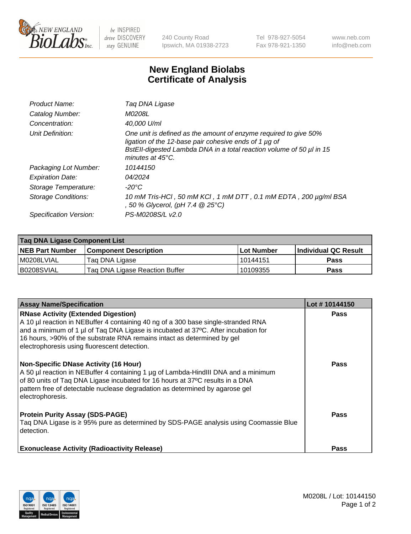

 $be$  INSPIRED drive DISCOVERY stay GENUINE

240 County Road Ipswich, MA 01938-2723 Tel 978-927-5054 Fax 978-921-1350 www.neb.com info@neb.com

## **New England Biolabs Certificate of Analysis**

| Product Name:              | Tag DNA Ligase                                                                                                                                                                                                                  |
|----------------------------|---------------------------------------------------------------------------------------------------------------------------------------------------------------------------------------------------------------------------------|
| Catalog Number:            | M0208L                                                                                                                                                                                                                          |
| Concentration:             | 40.000 U/ml                                                                                                                                                                                                                     |
| Unit Definition:           | One unit is defined as the amount of enzyme required to give 50%<br>ligation of the 12-base pair cohesive ends of 1 µg of<br>BstEll-digested Lambda DNA in a total reaction volume of 50 µl in 15<br>minutes at $45^{\circ}$ C. |
| Packaging Lot Number:      | 10144150                                                                                                                                                                                                                        |
| <b>Expiration Date:</b>    | 04/2024                                                                                                                                                                                                                         |
| Storage Temperature:       | $-20^{\circ}$ C                                                                                                                                                                                                                 |
| <b>Storage Conditions:</b> | 10 mM Tris-HCl, 50 mM KCl, 1 mM DTT, 0.1 mM EDTA, 200 µg/ml BSA<br>, 50 % Glycerol, (pH 7.4 $@25°C$ )                                                                                                                           |
| Specification Version:     | PS-M0208S/L v2.0                                                                                                                                                                                                                |

| Taq DNA Ligase Component List |                                |            |                      |  |
|-------------------------------|--------------------------------|------------|----------------------|--|
| <b>NEB Part Number</b>        | <b>Component Description</b>   | Lot Number | Individual QC Result |  |
| M0208LVIAL                    | Tag DNA Ligase                 | 10144151   | <b>Pass</b>          |  |
| B0208SVIAL                    | Taq DNA Ligase Reaction Buffer | 10109355   | Pass                 |  |

| <b>Assay Name/Specification</b>                                                                                                                                                                                                                                                                                                                  | Lot #10144150 |
|--------------------------------------------------------------------------------------------------------------------------------------------------------------------------------------------------------------------------------------------------------------------------------------------------------------------------------------------------|---------------|
| <b>RNase Activity (Extended Digestion)</b><br>A 10 µl reaction in NEBuffer 4 containing 40 ng of a 300 base single-stranded RNA<br>and a minimum of 1 µl of Taq DNA Ligase is incubated at 37°C. After incubation for<br>16 hours, >90% of the substrate RNA remains intact as determined by gel<br>electrophoresis using fluorescent detection. | <b>Pass</b>   |
| <b>Non-Specific DNase Activity (16 Hour)</b><br>A 50 µl reaction in NEBuffer 4 containing 1 µg of Lambda-HindIII DNA and a minimum<br>of 80 units of Taq DNA Ligase incubated for 16 hours at 37°C results in a DNA<br>pattern free of detectable nuclease degradation as determined by agarose gel<br>electrophoresis.                          | <b>Pass</b>   |
| <b>Protein Purity Assay (SDS-PAGE)</b><br>Taq DNA Ligase is ≥ 95% pure as determined by SDS-PAGE analysis using Coomassie Blue<br>detection.                                                                                                                                                                                                     | <b>Pass</b>   |
| <b>Exonuclease Activity (Radioactivity Release)</b>                                                                                                                                                                                                                                                                                              | Pass          |